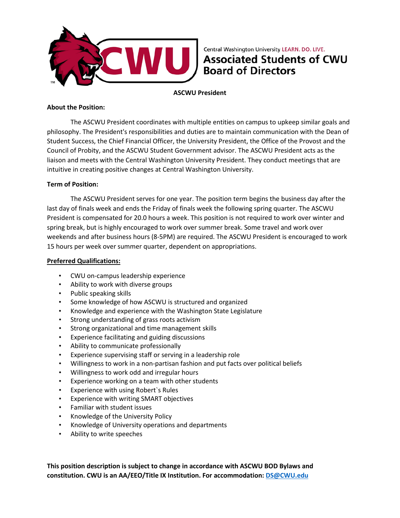

Central Washington University LEARN. DO. LIVE. **Associated Students of CWU Board of Directors** 

**ASCWU President**

## **About the Position:**

The ASCWU President coordinates with multiple entities on campus to upkeep similar goals and philosophy. The President's responsibilities and duties are to maintain communication with the Dean of Student Success, the Chief Financial Officer, the University President, the Office of the Provost and the Council of Probity, and the ASCWU Student Government advisor. The ASCWU President acts as the liaison and meets with the Central Washington University President. They conduct meetings that are intuitive in creating positive changes at Central Washington University.

#### **Term of Position:**

The ASCWU President serves for one year. The position term begins the business day after the last day of finals week and ends the Friday of finals week the following spring quarter. The ASCWU President is compensated for 20.0 hours a week. This position is not required to work over winter and spring break, but is highly encouraged to work over summer break. Some travel and work over weekends and after business hours (8-5PM) are required. The ASCWU President is encouraged to work 15 hours per week over summer quarter, dependent on appropriations.

### **Preferred Qualifications:**

- CWU on-campus leadership experience
- Ability to work with diverse groups
- Public speaking skills
- Some knowledge of how ASCWU is structured and organized
- Knowledge and experience with the Washington State Legislature
- Strong understanding of grass roots activism
- Strong organizational and time management skills
- Experience facilitating and guiding discussions
- Ability to communicate professionally
- Experience supervising staff or serving in a leadership role
- Willingness to work in a non-partisan fashion and put facts over political beliefs
- Willingness to work odd and irregular hours
- Experience working on a team with other students
- Experience with using Robert`s Rules
- Experience with writing SMART objectives
- Familiar with student issues
- Knowledge of the University Policy
- Knowledge of University operations and departments
- Ability to write speeches

**This position description is subject to change in accordance with ASCWU BOD Bylaws and constitution. CWU is an AA/EEO/Title IX Institution. For accommodation: [DS@CWU.edu](mailto:DS@CWU.edu)**